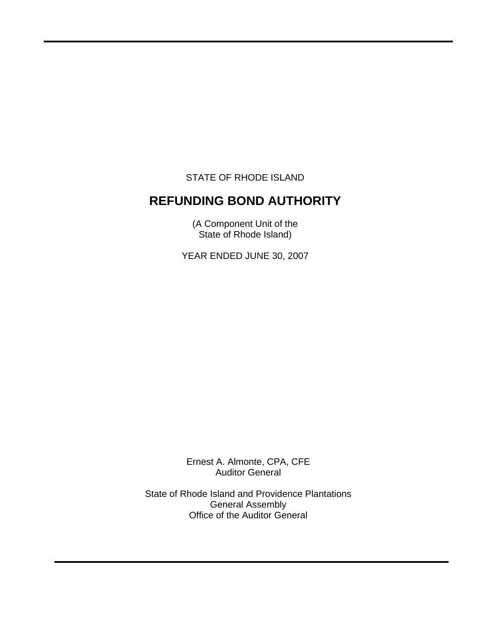STATE OF RHODE ISLAND

 $\overline{a}$ 

# **REFUNDING BOND AUTHORITY**

(A Component Unit of the State of Rhode Island)

YEAR ENDED JUNE 30, 2007

Ernest A. Almonte, CPA, CFE Auditor General

State of Rhode Island and Providence Plantations General Assembly Office of the Auditor General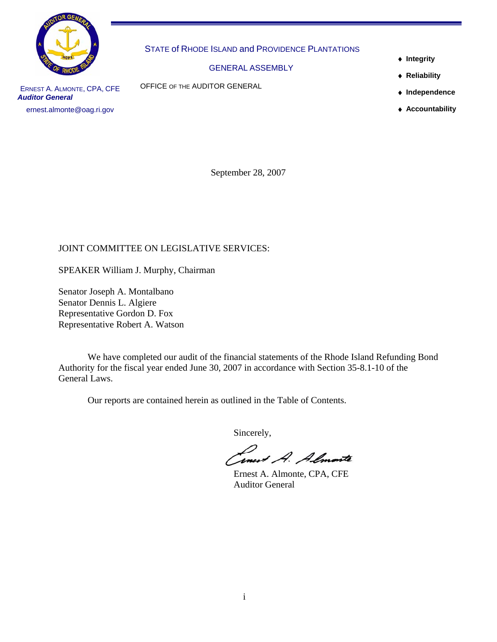

STATE of RHODE ISLAND and PROVIDENCE PLANTATIONS

GENERAL ASSEMBLY

OFFICE OF THE AUDITOR GENERAL

- ♦ **Integrity**
- ♦ **Reliability**
- ♦ **Independence**
- ♦ **Accountability**

ERNEST A. ALMONTE, CPA, CFE *Auditor General*  ernest.almonte@oag.ri.gov

September 28, 2007

# JOINT COMMITTEE ON LEGISLATIVE SERVICES:

SPEAKER William J. Murphy, Chairman

Senator Joseph A. Montalbano Senator Dennis L. Algiere Representative Gordon D. Fox Representative Robert A. Watson

 We have completed our audit of the financial statements of the Rhode Island Refunding Bond Authority for the fiscal year ended June 30, 2007 in accordance with Section 35-8.1-10 of the General Laws.

Our reports are contained herein as outlined in the Table of Contents.

Sincerely,

Inest A. Almoste

Auditor General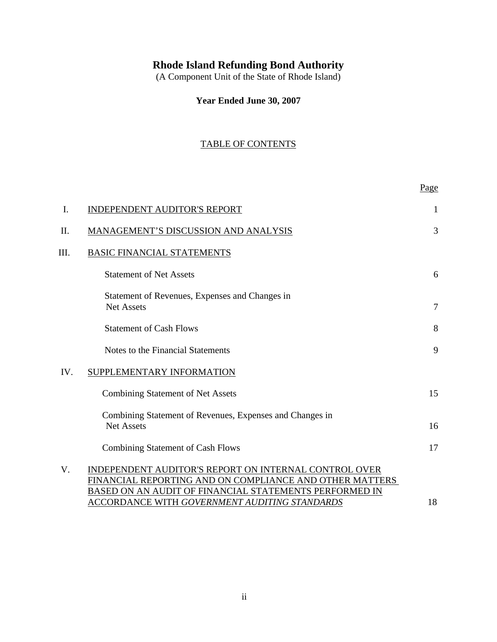# **Rhode Island Refunding Bond Authority**

(A Component Unit of the State of Rhode Island)

**Year Ended June 30, 2007**

# TABLE OF CONTENTS

|      |                                                                                                                                                                                                                                    | Page           |
|------|------------------------------------------------------------------------------------------------------------------------------------------------------------------------------------------------------------------------------------|----------------|
| Ι.   | <b>INDEPENDENT AUDITOR'S REPORT</b>                                                                                                                                                                                                | 1              |
| Π.   | MANAGEMENT'S DISCUSSION AND ANALYSIS                                                                                                                                                                                               | 3              |
| III. | <b>BASIC FINANCIAL STATEMENTS</b>                                                                                                                                                                                                  |                |
|      | <b>Statement of Net Assets</b>                                                                                                                                                                                                     | 6              |
|      | Statement of Revenues, Expenses and Changes in<br><b>Net Assets</b>                                                                                                                                                                | $\overline{7}$ |
|      | <b>Statement of Cash Flows</b>                                                                                                                                                                                                     | 8              |
|      | Notes to the Financial Statements                                                                                                                                                                                                  | 9              |
| IV.  | SUPPLEMENTARY INFORMATION                                                                                                                                                                                                          |                |
|      | <b>Combining Statement of Net Assets</b>                                                                                                                                                                                           | 15             |
|      | Combining Statement of Revenues, Expenses and Changes in<br><b>Net Assets</b>                                                                                                                                                      | 16             |
|      | <b>Combining Statement of Cash Flows</b>                                                                                                                                                                                           | 17             |
| V.   | INDEPENDENT AUDITOR'S REPORT ON INTERNAL CONTROL OVER<br>FINANCIAL REPORTING AND ON COMPLIANCE AND OTHER MATTERS<br>BASED ON AN AUDIT OF FINANCIAL STATEMENTS PERFORMED IN<br><b>ACCORDANCE WITH GOVERNMENT AUDITING STANDARDS</b> | 18             |
|      |                                                                                                                                                                                                                                    |                |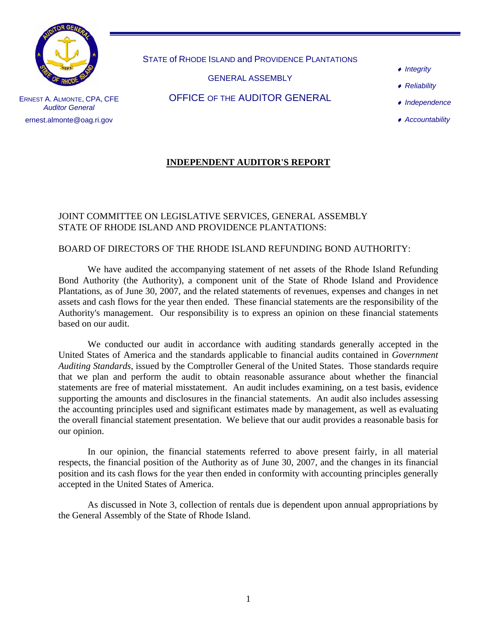

STATE of RHODE ISLAND and PROVIDENCE PLANTATIONS

GENERAL ASSEMBLY

OFFICE OF THE AUDITOR GENERAL

- ♦ *Integrity*
- ♦ *Reliability*

♦ *Independence* 

♦ *Accountability* 

ERNEST A. ALMONTE, CPA, CFE *Auditor General*  ernest.almonte@oag.ri.gov

# **INDEPENDENT AUDITOR'S REPORT**

### JOINT COMMITTEE ON LEGISLATIVE SERVICES, GENERAL ASSEMBLY STATE OF RHODE ISLAND AND PROVIDENCE PLANTATIONS:

## BOARD OF DIRECTORS OF THE RHODE ISLAND REFUNDING BOND AUTHORITY:

We have audited the accompanying statement of net assets of the Rhode Island Refunding Bond Authority (the Authority), a component unit of the State of Rhode Island and Providence Plantations, as of June 30, 2007, and the related statements of revenues, expenses and changes in net assets and cash flows for the year then ended. These financial statements are the responsibility of the Authority's management. Our responsibility is to express an opinion on these financial statements based on our audit.

We conducted our audit in accordance with auditing standards generally accepted in the United States of America and the standards applicable to financial audits contained in *Government Auditing Standards,* issued by the Comptroller General of the United States. Those standards require that we plan and perform the audit to obtain reasonable assurance about whether the financial statements are free of material misstatement. An audit includes examining, on a test basis, evidence supporting the amounts and disclosures in the financial statements. An audit also includes assessing the accounting principles used and significant estimates made by management, as well as evaluating the overall financial statement presentation. We believe that our audit provides a reasonable basis for our opinion.

In our opinion, the financial statements referred to above present fairly, in all material respects, the financial position of the Authority as of June 30, 2007, and the changes in its financial position and its cash flows for the year then ended in conformity with accounting principles generally accepted in the United States of America.

As discussed in Note 3, collection of rentals due is dependent upon annual appropriations by the General Assembly of the State of Rhode Island.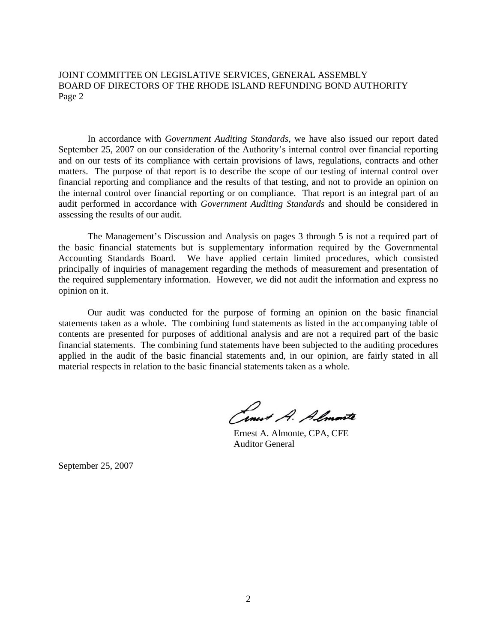JOINT COMMITTEE ON LEGISLATIVE SERVICES, GENERAL ASSEMBLY BOARD OF DIRECTORS OF THE RHODE ISLAND REFUNDING BOND AUTHORITY Page 2

In accordance with *Government Auditing Standards*, we have also issued our report dated September 25, 2007 on our consideration of the Authority's internal control over financial reporting and on our tests of its compliance with certain provisions of laws, regulations, contracts and other matters. The purpose of that report is to describe the scope of our testing of internal control over financial reporting and compliance and the results of that testing, and not to provide an opinion on the internal control over financial reporting or on compliance. That report is an integral part of an audit performed in accordance with *Government Auditing Standards* and should be considered in assessing the results of our audit.

The Management's Discussion and Analysis on pages 3 through 5 is not a required part of the basic financial statements but is supplementary information required by the Governmental Accounting Standards Board. We have applied certain limited procedures, which consisted principally of inquiries of management regarding the methods of measurement and presentation of the required supplementary information. However, we did not audit the information and express no opinion on it.

Our audit was conducted for the purpose of forming an opinion on the basic financial statements taken as a whole. The combining fund statements as listed in the accompanying table of contents are presented for purposes of additional analysis and are not a required part of the basic financial statements. The combining fund statements have been subjected to the auditing procedures applied in the audit of the basic financial statements and, in our opinion, are fairly stated in all material respects in relation to the basic financial statements taken as a whole.

Ernest A. Almonte

Auditor General

September 25, 2007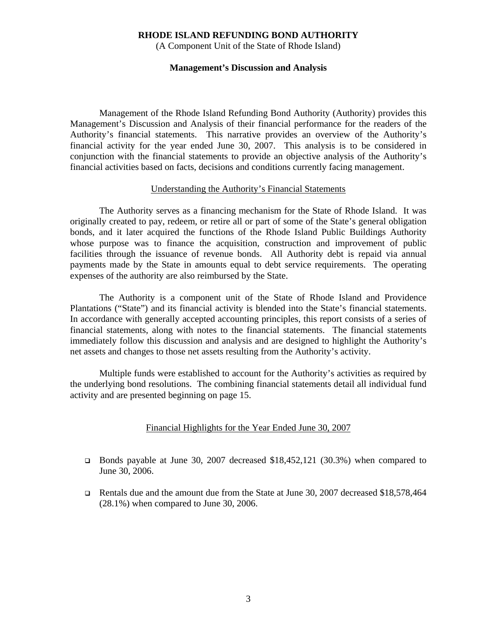### **RHODE ISLAND REFUNDING BOND AUTHORITY**

(A Component Unit of the State of Rhode Island)

#### **Management's Discussion and Analysis**

Management of the Rhode Island Refunding Bond Authority (Authority) provides this Management's Discussion and Analysis of their financial performance for the readers of the Authority's financial statements. This narrative provides an overview of the Authority's financial activity for the year ended June 30, 2007. This analysis is to be considered in conjunction with the financial statements to provide an objective analysis of the Authority's financial activities based on facts, decisions and conditions currently facing management.

#### Understanding the Authority's Financial Statements

The Authority serves as a financing mechanism for the State of Rhode Island. It was originally created to pay, redeem, or retire all or part of some of the State's general obligation bonds, and it later acquired the functions of the Rhode Island Public Buildings Authority whose purpose was to finance the acquisition, construction and improvement of public facilities through the issuance of revenue bonds. All Authority debt is repaid via annual payments made by the State in amounts equal to debt service requirements. The operating expenses of the authority are also reimbursed by the State.

 The Authority is a component unit of the State of Rhode Island and Providence Plantations ("State") and its financial activity is blended into the State's financial statements. In accordance with generally accepted accounting principles, this report consists of a series of financial statements, along with notes to the financial statements. The financial statements immediately follow this discussion and analysis and are designed to highlight the Authority's net assets and changes to those net assets resulting from the Authority's activity.

 Multiple funds were established to account for the Authority's activities as required by the underlying bond resolutions. The combining financial statements detail all individual fund activity and are presented beginning on page 15.

#### Financial Highlights for the Year Ended June 30, 2007

- Bonds payable at June 30, 2007 decreased \$18,452,121 (30.3%) when compared to June 30, 2006.
- Rentals due and the amount due from the State at June 30, 2007 decreased \$18,578,464 (28.1%) when compared to June 30, 2006.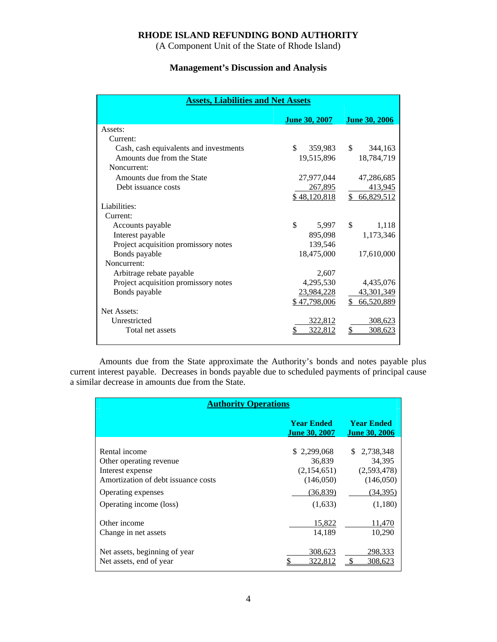### **RHODE ISLAND REFUNDING BOND AUTHORITY**

(A Component Unit of the State of Rhode Island)

# **Management's Discussion and Analysis**

| <b>Assets, Liabilities and Net Assets</b> |                      |                      |  |  |  |  |
|-------------------------------------------|----------------------|----------------------|--|--|--|--|
|                                           | <b>June 30, 2007</b> | <b>June 30, 2006</b> |  |  |  |  |
| Assets:                                   |                      |                      |  |  |  |  |
| Current:                                  |                      |                      |  |  |  |  |
| Cash, cash equivalents and investments    | \$<br>359,983 \$     | 344,163              |  |  |  |  |
| Amounts due from the State                | 19,515,896           | 18,784,719           |  |  |  |  |
| Noncurrent:                               |                      |                      |  |  |  |  |
| Amounts due from the State                | 27,977,044           | 47,286,685           |  |  |  |  |
| Debt issuance costs                       | 267,895              | 413,945              |  |  |  |  |
|                                           | \$48,120,818         | \$66,829,512         |  |  |  |  |
| Liabilities:                              |                      |                      |  |  |  |  |
| Current:                                  |                      |                      |  |  |  |  |
| Accounts payable                          | \$<br>5,997          | \$.<br>1,118         |  |  |  |  |
| Interest payable                          | 895,098              | 1,173,346            |  |  |  |  |
| Project acquisition promissory notes      | 139,546              |                      |  |  |  |  |
| Bonds payable                             | 18,475,000           | 17,610,000           |  |  |  |  |
| Noncurrent:                               |                      |                      |  |  |  |  |
| Arbitrage rebate payable                  | 2,607                |                      |  |  |  |  |
| Project acquisition promissory notes      | 4,295,530            | 4,435,076            |  |  |  |  |
| Bonds payable                             | 23,984,228           | 43,301,349           |  |  |  |  |
|                                           | \$47,798,006         | \$<br>66,520,889     |  |  |  |  |
| Net Assets:                               |                      |                      |  |  |  |  |
| Unrestricted                              | 322,812              | 308,623              |  |  |  |  |
| Total net assets                          | 322,812              | 308,623              |  |  |  |  |
|                                           |                      |                      |  |  |  |  |

 Amounts due from the State approximate the Authority's bonds and notes payable plus current interest payable. Decreases in bonds payable due to scheduled payments of principal cause a similar decrease in amounts due from the State.

| <b>Authority Operations</b>                                                                                                                          |                                                                           |                                                                              |  |  |  |  |
|------------------------------------------------------------------------------------------------------------------------------------------------------|---------------------------------------------------------------------------|------------------------------------------------------------------------------|--|--|--|--|
|                                                                                                                                                      | <b>Year Ended</b><br><b>June 30, 2007</b>                                 | <b>Year Ended</b><br><b>June 30, 2006</b>                                    |  |  |  |  |
| Rental income<br>Other operating revenue<br>Interest expense<br>Amortization of debt issuance costs<br>Operating expenses<br>Operating income (loss) | \$2,299,068<br>36,839<br>(2,154,651)<br>(146,050)<br>(36, 839)<br>(1,633) | 2,738,348<br>S.<br>34,395<br>(2,593,478)<br>(146,050)<br>(34,395)<br>(1,180) |  |  |  |  |
| Other income<br>Change in net assets                                                                                                                 | 15,822<br>14,189                                                          | 11,470<br>10,290                                                             |  |  |  |  |
| Net assets, beginning of year<br>Net assets, end of year                                                                                             | 308,623<br>322.812                                                        | 298,333<br>308.623                                                           |  |  |  |  |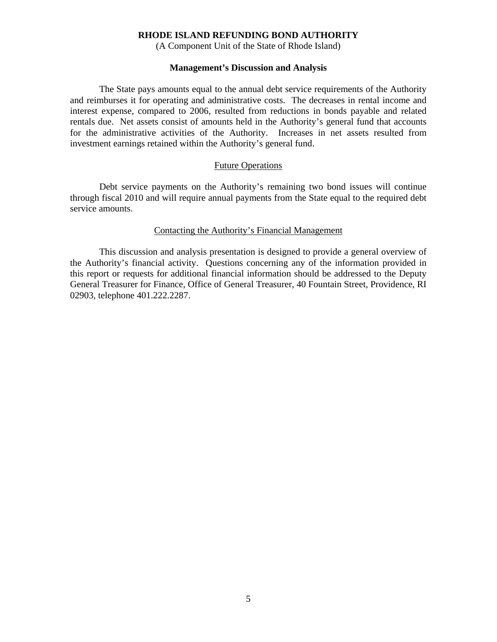#### **RHODE ISLAND REFUNDING BOND AUTHORITY**

(A Component Unit of the State of Rhode Island)

#### **Management's Discussion and Analysis**

 The State pays amounts equal to the annual debt service requirements of the Authority and reimburses it for operating and administrative costs. The decreases in rental income and interest expense, compared to 2006, resulted from reductions in bonds payable and related rentals due. Net assets consist of amounts held in the Authority's general fund that accounts for the administrative activities of the Authority. Increases in net assets resulted from investment earnings retained within the Authority's general fund.

#### Future Operations

 Debt service payments on the Authority's remaining two bond issues will continue through fiscal 2010 and will require annual payments from the State equal to the required debt service amounts.

#### Contacting the Authority's Financial Management

 This discussion and analysis presentation is designed to provide a general overview of the Authority's financial activity. Questions concerning any of the information provided in this report or requests for additional financial information should be addressed to the Deputy General Treasurer for Finance, Office of General Treasurer, 40 Fountain Street, Providence, RI 02903, telephone 401.222.2287.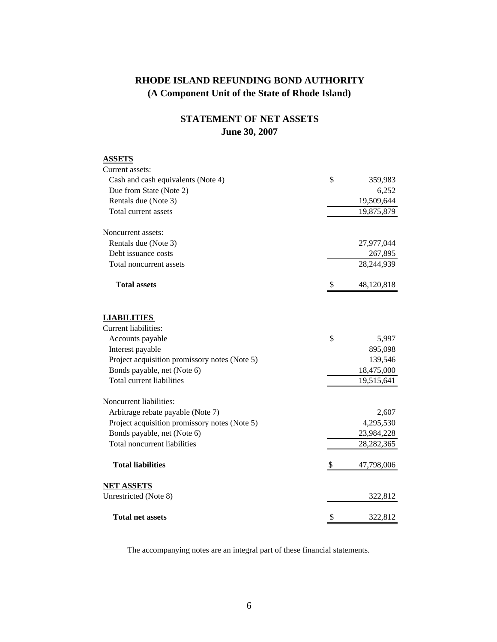# **STATEMENT OF NET ASSETS June 30, 2007**

| <b>ASSETS</b>                                 |               |              |
|-----------------------------------------------|---------------|--------------|
| Current assets:                               |               |              |
| Cash and cash equivalents (Note 4)            | \$            | 359,983      |
| Due from State (Note 2)                       |               | 6,252        |
| Rentals due (Note 3)                          |               | 19,509,644   |
| Total current assets                          |               | 19,875,879   |
| Noncurrent assets:                            |               |              |
| Rentals due (Note 3)                          |               | 27,977,044   |
| Debt issuance costs                           |               | 267,895      |
| Total noncurrent assets                       |               | 28,244,939   |
| <b>Total assets</b>                           | <sup>\$</sup> | 48,120,818   |
| <b>LIABILITIES</b>                            |               |              |
| <b>Current liabilities:</b>                   |               |              |
| Accounts payable                              | \$            | 5,997        |
| Interest payable                              |               | 895,098      |
| Project acquisition promissory notes (Note 5) |               | 139,546      |
| Bonds payable, net (Note 6)                   |               | 18,475,000   |
| Total current liabilities                     |               | 19,515,641   |
| Noncurrent liabilities:                       |               |              |
| Arbitrage rebate payable (Note 7)             |               | 2,607        |
| Project acquisition promissory notes (Note 5) |               | 4,295,530    |
| Bonds payable, net (Note 6)                   |               | 23,984,228   |
| Total noncurrent liabilities                  |               | 28, 282, 365 |
| <b>Total liabilities</b>                      | \$            | 47,798,006   |
| <b>NET ASSETS</b>                             |               |              |
| Unrestricted (Note 8)                         |               | 322,812      |
| <b>Total net assets</b>                       | \$            | 322,812      |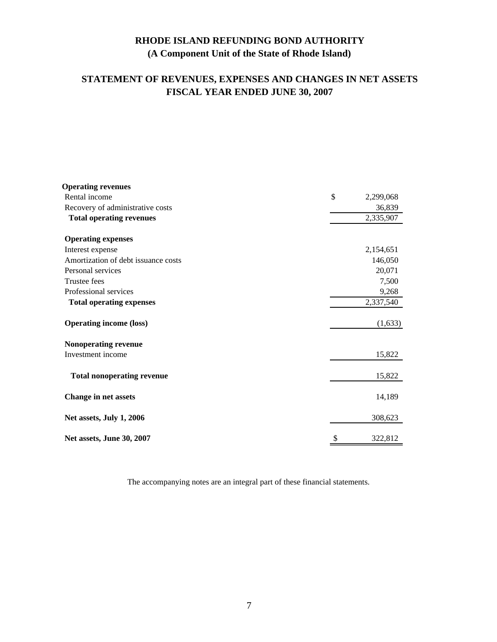# **STATEMENT OF REVENUES, EXPENSES AND CHANGES IN NET ASSETS FISCAL YEAR ENDED JUNE 30, 2007**

| <b>Operating revenues</b>           |    |           |
|-------------------------------------|----|-----------|
| Rental income                       | \$ | 2,299,068 |
| Recovery of administrative costs    |    | 36,839    |
| <b>Total operating revenues</b>     |    | 2,335,907 |
| <b>Operating expenses</b>           |    |           |
| Interest expense                    |    | 2,154,651 |
| Amortization of debt issuance costs |    | 146,050   |
| Personal services                   |    | 20,071    |
| Trustee fees                        |    | 7,500     |
| Professional services               |    | 9,268     |
| <b>Total operating expenses</b>     |    | 2,337,540 |
| <b>Operating income (loss)</b>      |    | (1,633)   |
| Nonoperating revenue                |    |           |
| Investment income                   |    | 15,822    |
| <b>Total nonoperating revenue</b>   |    | 15,822    |
| <b>Change in net assets</b>         |    | 14,189    |
| Net assets, July 1, 2006            |    | 308,623   |
| Net assets, June 30, 2007           | S  | 322,812   |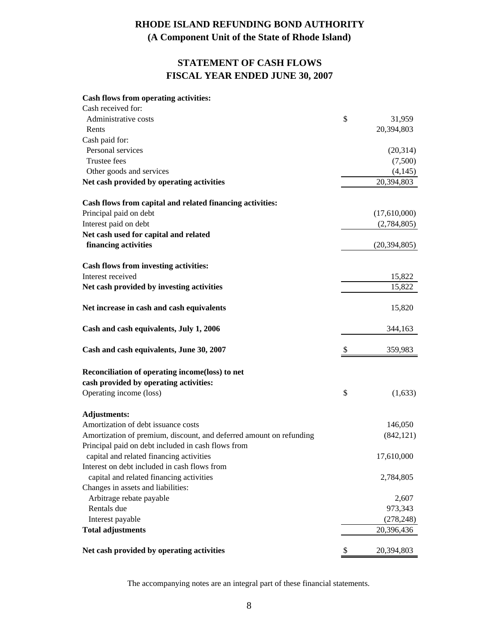# **STATEMENT OF CASH FLOWS FISCAL YEAR ENDED JUNE 30, 2007**

#### **Cash flows from operating activities:**

| Cash received for:                                                  |                  |
|---------------------------------------------------------------------|------------------|
| Administrative costs                                                | \$<br>31,959     |
| Rents                                                               | 20,394,803       |
| Cash paid for:                                                      |                  |
| Personal services                                                   | (20, 314)        |
| <b>Trustee fees</b>                                                 | (7,500)          |
| Other goods and services                                            | (4,145)          |
| Net cash provided by operating activities                           | 20,394,803       |
| Cash flows from capital and related financing activities:           |                  |
| Principal paid on debt                                              | (17,610,000)     |
| Interest paid on debt                                               | (2,784,805)      |
| Net cash used for capital and related                               |                  |
| financing activities                                                | (20, 394, 805)   |
| Cash flows from investing activities:                               |                  |
| Interest received                                                   | 15,822           |
| Net cash provided by investing activities                           | 15,822           |
| Net increase in cash and cash equivalents                           | 15,820           |
| Cash and cash equivalents, July 1, 2006                             | 344,163          |
| Cash and cash equivalents, June 30, 2007                            | \$<br>359,983    |
| Reconciliation of operating income(loss) to net                     |                  |
| cash provided by operating activities:                              |                  |
| Operating income (loss)                                             | \$<br>(1,633)    |
| <b>Adjustments:</b>                                                 |                  |
| Amortization of debt issuance costs                                 | 146,050          |
| Amortization of premium, discount, and deferred amount on refunding | (842, 121)       |
| Principal paid on debt included in cash flows from                  |                  |
| capital and related financing activities                            | 17,610,000       |
| Interest on debt included in cash flows from                        |                  |
| capital and related financing activities                            | 2,784,805        |
| Changes in assets and liabilities:                                  |                  |
| Arbitrage rebate payable                                            | 2,607            |
| Rentals due                                                         | 973,343          |
| Interest payable                                                    | (278, 248)       |
| <b>Total adjustments</b>                                            | 20,396,436       |
| Net cash provided by operating activities                           | \$<br>20,394,803 |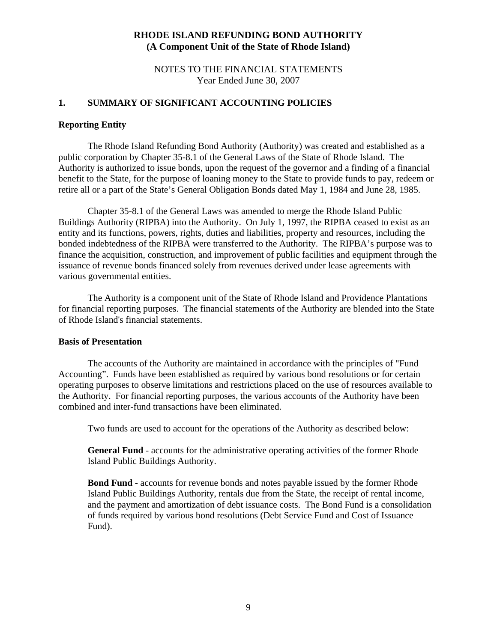### NOTES TO THE FINANCIAL STATEMENTS Year Ended June 30, 2007

### **1. SUMMARY OF SIGNIFICANT ACCOUNTING POLICIES**

### **Reporting Entity**

The Rhode Island Refunding Bond Authority (Authority) was created and established as a public corporation by Chapter 35-8.1 of the General Laws of the State of Rhode Island. The Authority is authorized to issue bonds, upon the request of the governor and a finding of a financial benefit to the State, for the purpose of loaning money to the State to provide funds to pay, redeem or retire all or a part of the State's General Obligation Bonds dated May 1, 1984 and June 28, 1985.

Chapter 35-8.1 of the General Laws was amended to merge the Rhode Island Public Buildings Authority (RIPBA) into the Authority. On July 1, 1997, the RIPBA ceased to exist as an entity and its functions, powers, rights, duties and liabilities, property and resources, including the bonded indebtedness of the RIPBA were transferred to the Authority. The RIPBA's purpose was to finance the acquisition, construction, and improvement of public facilities and equipment through the issuance of revenue bonds financed solely from revenues derived under lease agreements with various governmental entities.

 The Authority is a component unit of the State of Rhode Island and Providence Plantations for financial reporting purposes. The financial statements of the Authority are blended into the State of Rhode Island's financial statements.

#### **Basis of Presentation**

The accounts of the Authority are maintained in accordance with the principles of "Fund Accounting". Funds have been established as required by various bond resolutions or for certain operating purposes to observe limitations and restrictions placed on the use of resources available to the Authority. For financial reporting purposes, the various accounts of the Authority have been combined and inter-fund transactions have been eliminated.

Two funds are used to account for the operations of the Authority as described below:

 **General Fund** - accounts for the administrative operating activities of the former Rhode Island Public Buildings Authority.

 **Bond Fund** - accounts for revenue bonds and notes payable issued by the former Rhode Island Public Buildings Authority, rentals due from the State, the receipt of rental income, and the payment and amortization of debt issuance costs. The Bond Fund is a consolidation of funds required by various bond resolutions (Debt Service Fund and Cost of Issuance Fund).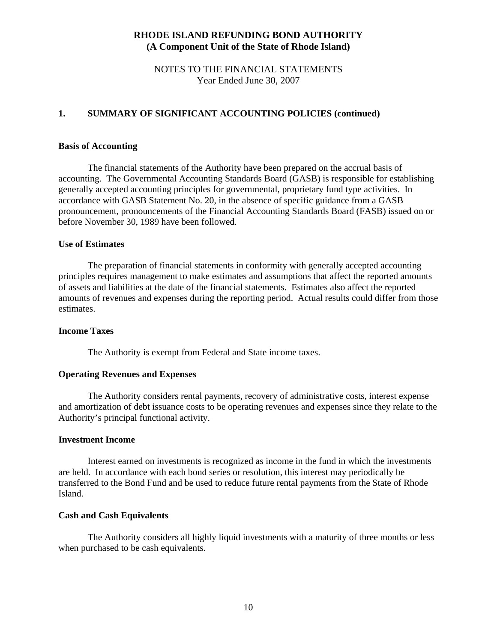### NOTES TO THE FINANCIAL STATEMENTS Year Ended June 30, 2007

## **1. SUMMARY OF SIGNIFICANT ACCOUNTING POLICIES (continued)**

#### **Basis of Accounting**

The financial statements of the Authority have been prepared on the accrual basis of accounting. The Governmental Accounting Standards Board (GASB) is responsible for establishing generally accepted accounting principles for governmental, proprietary fund type activities. In accordance with GASB Statement No. 20, in the absence of specific guidance from a GASB pronouncement, pronouncements of the Financial Accounting Standards Board (FASB) issued on or before November 30, 1989 have been followed.

### **Use of Estimates**

 The preparation of financial statements in conformity with generally accepted accounting principles requires management to make estimates and assumptions that affect the reported amounts of assets and liabilities at the date of the financial statements. Estimates also affect the reported amounts of revenues and expenses during the reporting period. Actual results could differ from those estimates.

### **Income Taxes**

The Authority is exempt from Federal and State income taxes.

#### **Operating Revenues and Expenses**

The Authority considers rental payments, recovery of administrative costs, interest expense and amortization of debt issuance costs to be operating revenues and expenses since they relate to the Authority's principal functional activity.

#### **Investment Income**

Interest earned on investments is recognized as income in the fund in which the investments are held. In accordance with each bond series or resolution, this interest may periodically be transferred to the Bond Fund and be used to reduce future rental payments from the State of Rhode Island.

### **Cash and Cash Equivalents**

 The Authority considers all highly liquid investments with a maturity of three months or less when purchased to be cash equivalents.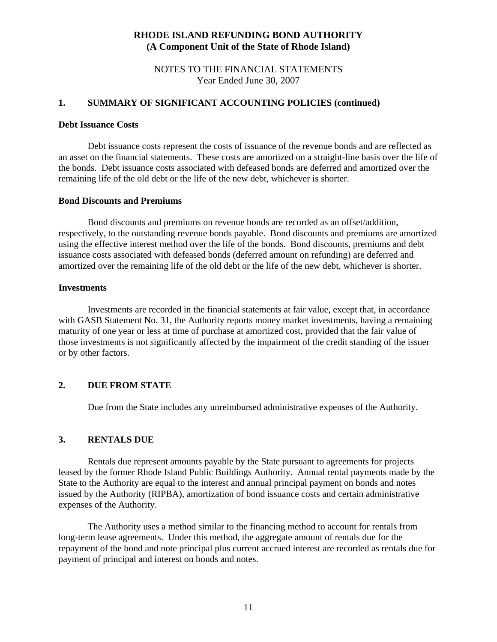### NOTES TO THE FINANCIAL STATEMENTS Year Ended June 30, 2007

### **1. SUMMARY OF SIGNIFICANT ACCOUNTING POLICIES (continued)**

#### **Debt Issuance Costs**

 Debt issuance costs represent the costs of issuance of the revenue bonds and are reflected as an asset on the financial statements. These costs are amortized on a straight-line basis over the life of the bonds. Debt issuance costs associated with defeased bonds are deferred and amortized over the remaining life of the old debt or the life of the new debt, whichever is shorter.

### **Bond Discounts and Premiums**

 Bond discounts and premiums on revenue bonds are recorded as an offset/addition, respectively, to the outstanding revenue bonds payable. Bond discounts and premiums are amortized using the effective interest method over the life of the bonds. Bond discounts, premiums and debt issuance costs associated with defeased bonds (deferred amount on refunding) are deferred and amortized over the remaining life of the old debt or the life of the new debt, whichever is shorter.

#### **Investments**

 Investments are recorded in the financial statements at fair value, except that, in accordance with GASB Statement No. 31, the Authority reports money market investments, having a remaining maturity of one year or less at time of purchase at amortized cost, provided that the fair value of those investments is not significantly affected by the impairment of the credit standing of the issuer or by other factors.

### **2. DUE FROM STATE**

Due from the State includes any unreimbursed administrative expenses of the Authority.

#### **3. RENTALS DUE**

Rentals due represent amounts payable by the State pursuant to agreements for projects leased by the former Rhode Island Public Buildings Authority. Annual rental payments made by the State to the Authority are equal to the interest and annual principal payment on bonds and notes issued by the Authority (RIPBA), amortization of bond issuance costs and certain administrative expenses of the Authority.

The Authority uses a method similar to the financing method to account for rentals from long-term lease agreements. Under this method, the aggregate amount of rentals due for the repayment of the bond and note principal plus current accrued interest are recorded as rentals due for payment of principal and interest on bonds and notes.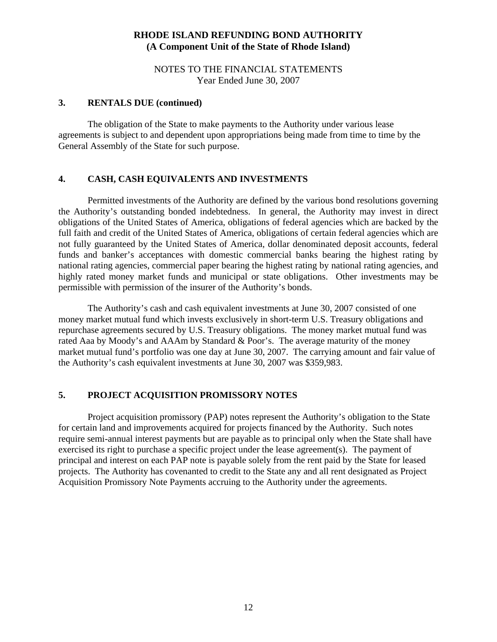NOTES TO THE FINANCIAL STATEMENTS Year Ended June 30, 2007

## **3. RENTALS DUE (continued)**

The obligation of the State to make payments to the Authority under various lease agreements is subject to and dependent upon appropriations being made from time to time by the General Assembly of the State for such purpose.

### **4. CASH, CASH EQUIVALENTS AND INVESTMENTS**

Permitted investments of the Authority are defined by the various bond resolutions governing the Authority's outstanding bonded indebtedness. In general, the Authority may invest in direct obligations of the United States of America, obligations of federal agencies which are backed by the full faith and credit of the United States of America, obligations of certain federal agencies which are not fully guaranteed by the United States of America, dollar denominated deposit accounts, federal funds and banker's acceptances with domestic commercial banks bearing the highest rating by national rating agencies, commercial paper bearing the highest rating by national rating agencies, and highly rated money market funds and municipal or state obligations. Other investments may be permissible with permission of the insurer of the Authority's bonds.

The Authority's cash and cash equivalent investments at June 30, 2007 consisted of one money market mutual fund which invests exclusively in short-term U.S. Treasury obligations and repurchase agreements secured by U.S. Treasury obligations. The money market mutual fund was rated Aaa by Moody's and AAAm by Standard & Poor's. The average maturity of the money market mutual fund's portfolio was one day at June 30, 2007. The carrying amount and fair value of the Authority's cash equivalent investments at June 30, 2007 was \$359,983.

## **5. PROJECT ACQUISITION PROMISSORY NOTES**

 Project acquisition promissory (PAP) notes represent the Authority's obligation to the State for certain land and improvements acquired for projects financed by the Authority. Such notes require semi-annual interest payments but are payable as to principal only when the State shall have exercised its right to purchase a specific project under the lease agreement(s). The payment of principal and interest on each PAP note is payable solely from the rent paid by the State for leased projects. The Authority has covenanted to credit to the State any and all rent designated as Project Acquisition Promissory Note Payments accruing to the Authority under the agreements.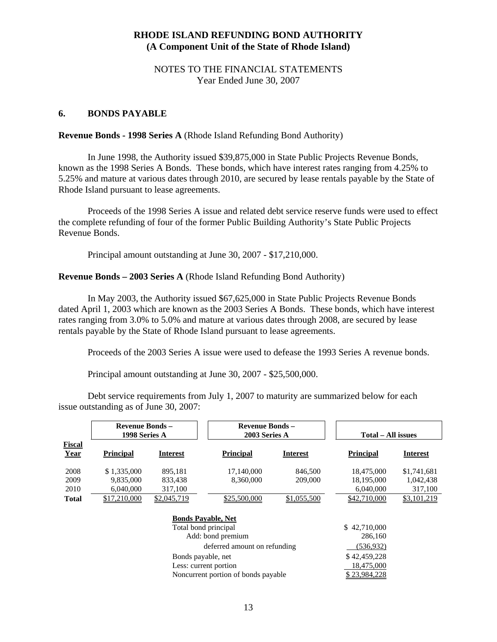### NOTES TO THE FINANCIAL STATEMENTS Year Ended June 30, 2007

### **6. BONDS PAYABLE**

#### **Revenue Bonds - 1998 Series A** (Rhode Island Refunding Bond Authority)

 In June 1998, the Authority issued \$39,875,000 in State Public Projects Revenue Bonds, known as the 1998 Series A Bonds. These bonds, which have interest rates ranging from 4.25% to 5.25% and mature at various dates through 2010, are secured by lease rentals payable by the State of Rhode Island pursuant to lease agreements.

 Proceeds of the 1998 Series A issue and related debt service reserve funds were used to effect the complete refunding of four of the former Public Building Authority's State Public Projects Revenue Bonds.

Principal amount outstanding at June 30, 2007 - \$17,210,000.

#### **Revenue Bonds – 2003 Series A** (Rhode Island Refunding Bond Authority)

In May 2003, the Authority issued \$67,625,000 in State Public Projects Revenue Bonds dated April 1, 2003 which are known as the 2003 Series A Bonds. These bonds, which have interest rates ranging from 3.0% to 5.0% and mature at various dates through 2008, are secured by lease rentals payable by the State of Rhode Island pursuant to lease agreements.

Proceeds of the 2003 Series A issue were used to defease the 1993 Series A revenue bonds.

Principal amount outstanding at June 30, 2007 - \$25,500,000.

Debt service requirements from July 1, 2007 to maturity are summarized below for each issue outstanding as of June 30, 2007:

|                       | <b>Revenue Bonds -</b><br>1998 Series A |                           | <b>Revenue Bonds -</b><br>2003 Series A |                 | Total - All issues |                 |
|-----------------------|-----------------------------------------|---------------------------|-----------------------------------------|-----------------|--------------------|-----------------|
| Fiscal<br><b>Year</b> | <b>Principal</b>                        | <b>Interest</b>           | <b>Principal</b>                        | <b>Interest</b> | <b>Principal</b>   | <b>Interest</b> |
| 2008                  | \$1,335,000                             | 895.181                   | 17,140,000                              | 846,500         | 18,475,000         | \$1,741,681     |
| 2009                  | 9,835,000                               | 833,438                   | 8,360,000                               | 209,000         | 18,195,000         | 1,042,438       |
| 2010                  | 6,040,000                               | 317,100                   |                                         |                 | 6,040,000          | 317,100         |
| <b>Total</b>          | \$17,210,000                            | \$2,045,719               | \$25,500,000                            | \$1,055,500     | \$42,710,000       | \$3,101,219     |
|                       |                                         | <b>Bonds Payable, Net</b> |                                         |                 |                    |                 |
|                       |                                         | Total bond principal      |                                         |                 | \$42,710,000       |                 |
|                       |                                         |                           | Add: bond premium                       |                 | 286,160            |                 |
|                       |                                         |                           | deferred amount on refunding            |                 | (536, 932)         |                 |
|                       | Bonds payable, net                      |                           |                                         |                 | \$42,459,228       |                 |
|                       |                                         | Less: current portion     |                                         |                 | 18,475,000         |                 |
|                       | Noncurrent portion of bonds payable     |                           |                                         |                 | \$23,984,228       |                 |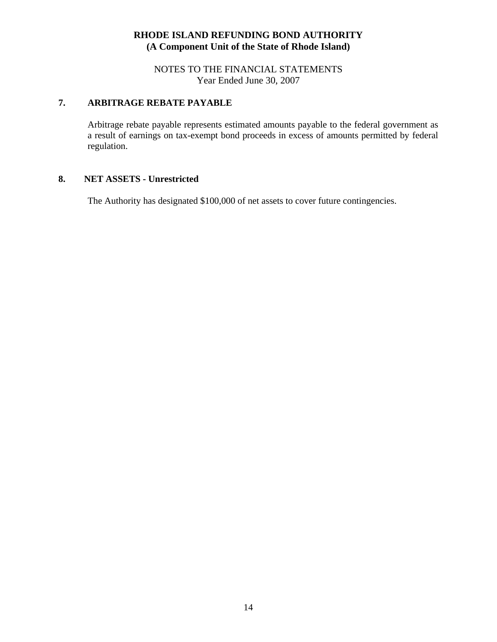NOTES TO THE FINANCIAL STATEMENTS Year Ended June 30, 2007

# **7. ARBITRAGE REBATE PAYABLE**

Arbitrage rebate payable represents estimated amounts payable to the federal government as a result of earnings on tax-exempt bond proceeds in excess of amounts permitted by federal regulation.

### **8. NET ASSETS - Unrestricted**

The Authority has designated \$100,000 of net assets to cover future contingencies.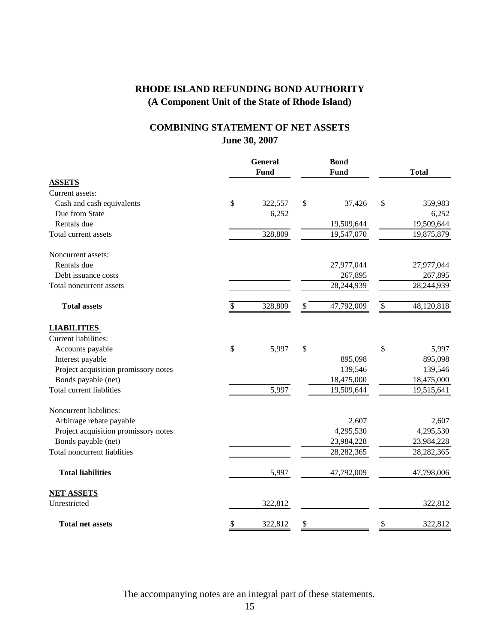# **June 30, 2007 COMBINING STATEMENT OF NET ASSETS**

|                                      | <b>General</b><br>Fund |         | <b>Bond</b><br>Fund |      | <b>Total</b> |  |
|--------------------------------------|------------------------|---------|---------------------|------|--------------|--|
| <b>ASSETS</b>                        |                        |         |                     |      |              |  |
| Current assets:                      |                        |         |                     |      |              |  |
| Cash and cash equivalents            | \$                     | 322,557 | \$<br>37,426        | \$   | 359,983      |  |
| Due from State                       |                        | 6,252   |                     |      | 6,252        |  |
| Rentals due                          |                        |         | 19,509,644          |      | 19,509,644   |  |
| Total current assets                 |                        | 328,809 | 19,547,070          |      | 19,875,879   |  |
| Noncurrent assets:                   |                        |         |                     |      |              |  |
| Rentals due                          |                        |         | 27,977,044          |      | 27,977,044   |  |
| Debt issuance costs                  |                        |         | 267,895             |      | 267,895      |  |
| Total noncurrent assets              |                        |         | 28,244,939          |      | 28,244,939   |  |
| <b>Total assets</b>                  | \$                     | 328,809 | \$<br>47,792,009    | $\$$ | 48,120,818   |  |
| <b>LIABILITIES</b>                   |                        |         |                     |      |              |  |
| Current liabilities:                 |                        |         |                     |      |              |  |
| Accounts payable                     | \$                     | 5,997   | \$                  | \$   | 5,997        |  |
| Interest payable                     |                        |         | 895,098             |      | 895,098      |  |
| Project acquisition promissory notes |                        |         | 139,546             |      | 139,546      |  |
| Bonds payable (net)                  |                        |         | 18,475,000          |      | 18,475,000   |  |
| Total current liablities             |                        | 5,997   | 19,509,644          |      | 19,515,641   |  |
| Noncurrent liabilities:              |                        |         |                     |      |              |  |
| Arbitrage rebate payable             |                        |         | 2,607               |      | 2,607        |  |
| Project acquisition promissory notes |                        |         | 4,295,530           |      | 4,295,530    |  |
| Bonds payable (net)                  |                        |         | 23,984,228          |      | 23,984,228   |  |
| <b>Total noncurrent liablities</b>   |                        |         | 28, 282, 365        |      | 28, 282, 365 |  |
| <b>Total liabilities</b>             |                        | 5,997   | 47,792,009          |      | 47,798,006   |  |
| <b>NET ASSETS</b>                    |                        |         |                     |      |              |  |
| Unrestricted                         |                        | 322,812 |                     |      | 322,812      |  |
| <b>Total net assets</b>              | \$                     | 322,812 | \$                  | \$   | 322,812      |  |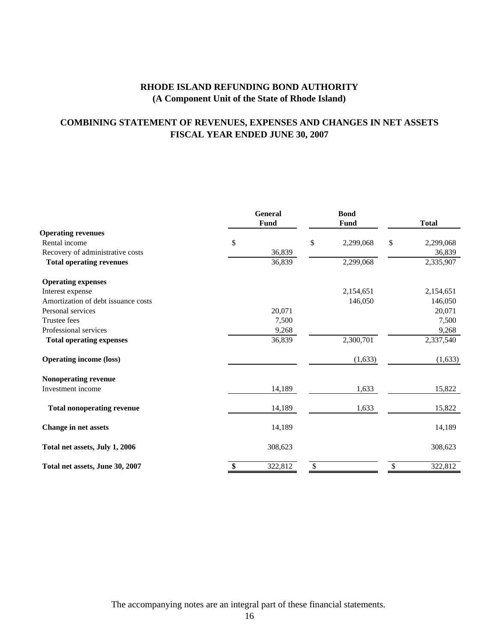# **COMBINING STATEMENT OF REVENUES, EXPENSES AND CHANGES IN NET ASSETS FISCAL YEAR ENDED JUNE 30, 2007**

|                                     | <b>General</b><br>Fund |         | <b>Bond</b><br><b>Fund</b> | <b>Total</b>    |
|-------------------------------------|------------------------|---------|----------------------------|-----------------|
| <b>Operating revenues</b>           |                        |         |                            |                 |
| Rental income                       | \$                     |         | \$<br>2,299,068            | \$<br>2,299,068 |
| Recovery of administrative costs    |                        | 36,839  |                            | 36,839          |
| <b>Total operating revenues</b>     |                        | 36,839  | 2,299,068                  | 2,335,907       |
| <b>Operating expenses</b>           |                        |         |                            |                 |
| Interest expense                    |                        |         | 2,154,651                  | 2,154,651       |
| Amortization of debt issuance costs |                        |         | 146,050                    | 146,050         |
| Personal services                   |                        | 20,071  |                            | 20,071          |
| Trustee fees                        |                        | 7,500   |                            | 7,500           |
| Professional services               |                        | 9,268   |                            | 9,268           |
| <b>Total operating expenses</b>     |                        | 36,839  | 2,300,701                  | 2,337,540       |
| <b>Operating income (loss)</b>      |                        |         | (1,633)                    | (1,633)         |
| Nonoperating revenue                |                        |         |                            |                 |
| Investment income                   |                        | 14,189  | 1,633                      | 15,822          |
| <b>Total nonoperating revenue</b>   |                        | 14,189  | 1,633                      | 15,822          |
| <b>Change in net assets</b>         |                        | 14,189  |                            | 14,189          |
| Total net assets, July 1, 2006      |                        | 308,623 |                            | 308,623         |
| Total net assets, June 30, 2007     | \$                     | 322,812 | \$                         | 322,812         |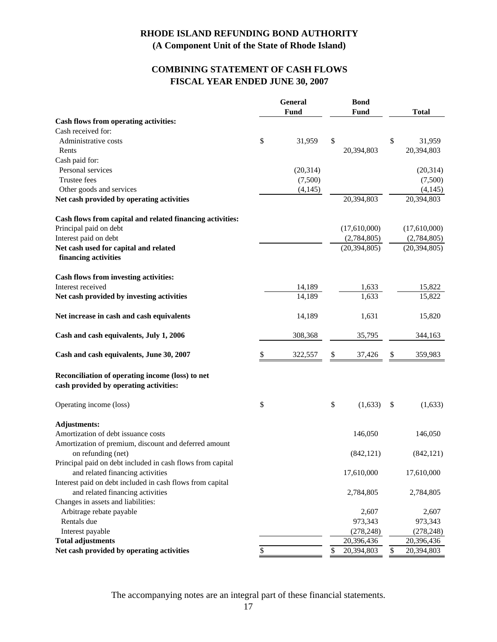# **FISCAL YEAR ENDED JUNE 30, 2007 COMBINING STATEMENT OF CASH FLOWS**

|                                                                                                | General |           |    | <b>Bond</b>    |    |                |
|------------------------------------------------------------------------------------------------|---------|-----------|----|----------------|----|----------------|
|                                                                                                |         | Fund      |    | <b>Fund</b>    |    | <b>Total</b>   |
| Cash flows from operating activities:                                                          |         |           |    |                |    |                |
| Cash received for:                                                                             |         |           |    |                |    |                |
| Administrative costs                                                                           | \$      | 31,959    | \$ |                | \$ | 31,959         |
| Rents                                                                                          |         |           |    | 20,394,803     |    | 20,394,803     |
| Cash paid for:                                                                                 |         |           |    |                |    |                |
| Personal services                                                                              |         | (20, 314) |    |                |    | (20, 314)      |
| Trustee fees                                                                                   |         | (7,500)   |    |                |    | (7,500)        |
| Other goods and services                                                                       |         | (4, 145)  |    |                |    | (4, 145)       |
| Net cash provided by operating activities                                                      |         |           |    | 20,394,803     |    | 20,394,803     |
| Cash flows from capital and related financing activities:                                      |         |           |    |                |    |                |
| Principal paid on debt                                                                         |         |           |    | (17,610,000)   |    | (17,610,000)   |
| Interest paid on debt                                                                          |         |           |    | (2,784,805)    |    | (2,784,805)    |
| Net cash used for capital and related                                                          |         |           |    | (20, 394, 805) |    | (20, 394, 805) |
| financing activities                                                                           |         |           |    |                |    |                |
| Cash flows from investing activities:                                                          |         |           |    |                |    |                |
| Interest received                                                                              |         | 14,189    |    | 1,633          |    | 15,822         |
| Net cash provided by investing activities                                                      |         | 14,189    |    | 1,633          |    | 15,822         |
| Net increase in cash and cash equivalents                                                      |         | 14,189    |    | 1,631          |    | 15,820         |
| Cash and cash equivalents, July 1, 2006                                                        |         | 308,368   |    | 35,795         |    | 344,163        |
| Cash and cash equivalents, June 30, 2007                                                       | \$      | 322,557   | \$ | 37,426         | S  | 359,983        |
| Reconciliation of operating income (loss) to net<br>cash provided by operating activities:     |         |           |    |                |    |                |
| Operating income (loss)                                                                        | \$      |           | \$ | (1,633)        | \$ | (1,633)        |
| <b>Adjustments:</b>                                                                            |         |           |    |                |    |                |
| Amortization of debt issuance costs                                                            |         |           |    | 146,050        |    | 146,050        |
| Amortization of premium, discount and deferred amount<br>on refunding (net)                    |         |           |    | (842, 121)     |    | (842, 121)     |
| Principal paid on debt included in cash flows from capital<br>and related financing activities |         |           |    | 17,610,000     |    | 17,610,000     |
| Interest paid on debt included in cash flows from capital<br>and related financing activities  |         |           |    | 2,784,805      |    | 2,784,805      |
| Changes in assets and liabilities:                                                             |         |           |    |                |    |                |
| Arbitrage rebate payable                                                                       |         |           |    | 2,607          |    | 2,607          |
| Rentals due                                                                                    |         |           |    | 973,343        |    | 973,343        |
| Interest payable                                                                               |         |           |    | (278, 248)     |    | (278, 248)     |
| <b>Total adjustments</b>                                                                       |         |           |    | 20,396,436     |    | 20,396,436     |
| Net cash provided by operating activities                                                      | \$      |           | \$ | 20,394,803     | \$ | 20,394,803     |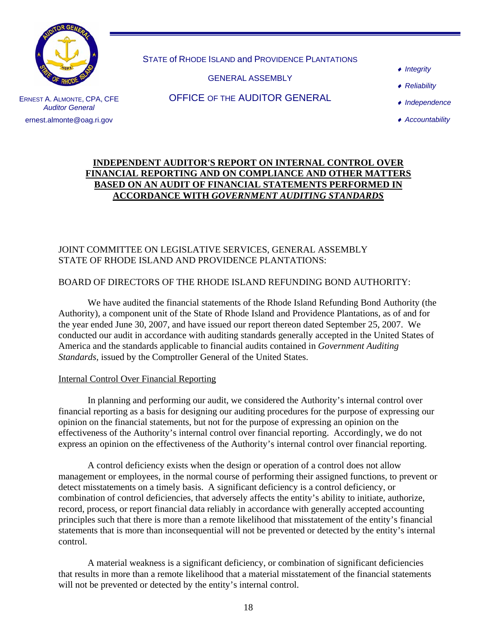

STATE of RHODE ISLAND and PROVIDENCE PLANTATIONS

GENERAL ASSEMBLY

- ♦ *Integrity*
- ♦ *Reliability*

ERNEST A. ALMONTE, CPA, CFE *Auditor General*  ernest.almonte@oag.ri.gov

OFFICE OF THE AUDITOR GENERAL

- ♦ *Independence*
- ♦ *Accountability*

## **INDEPENDENT AUDITOR'S REPORT ON INTERNAL CONTROL OVER FINANCIAL REPORTING AND ON COMPLIANCE AND OTHER MATTERS BASED ON AN AUDIT OF FINANCIAL STATEMENTS PERFORMED IN ACCORDANCE WITH** *GOVERNMENT AUDITING STANDARDS*

# JOINT COMMITTEE ON LEGISLATIVE SERVICES, GENERAL ASSEMBLY STATE OF RHODE ISLAND AND PROVIDENCE PLANTATIONS:

## BOARD OF DIRECTORS OF THE RHODE ISLAND REFUNDING BOND AUTHORITY:

We have audited the financial statements of the Rhode Island Refunding Bond Authority (the Authority), a component unit of the State of Rhode Island and Providence Plantations, as of and for the year ended June 30, 2007, and have issued our report thereon dated September 25, 2007. We conducted our audit in accordance with auditing standards generally accepted in the United States of America and the standards applicable to financial audits contained in *Government Auditing Standards*, issued by the Comptroller General of the United States.

### Internal Control Over Financial Reporting

 In planning and performing our audit, we considered the Authority's internal control over financial reporting as a basis for designing our auditing procedures for the purpose of expressing our opinion on the financial statements, but not for the purpose of expressing an opinion on the effectiveness of the Authority's internal control over financial reporting. Accordingly, we do not express an opinion on the effectiveness of the Authority's internal control over financial reporting.

A control deficiency exists when the design or operation of a control does not allow management or employees, in the normal course of performing their assigned functions, to prevent or detect misstatements on a timely basis. A significant deficiency is a control deficiency, or combination of control deficiencies, that adversely affects the entity's ability to initiate, authorize, record, process, or report financial data reliably in accordance with generally accepted accounting principles such that there is more than a remote likelihood that misstatement of the entity's financial statements that is more than inconsequential will not be prevented or detected by the entity's internal control.

A material weakness is a significant deficiency, or combination of significant deficiencies that results in more than a remote likelihood that a material misstatement of the financial statements will not be prevented or detected by the entity's internal control.